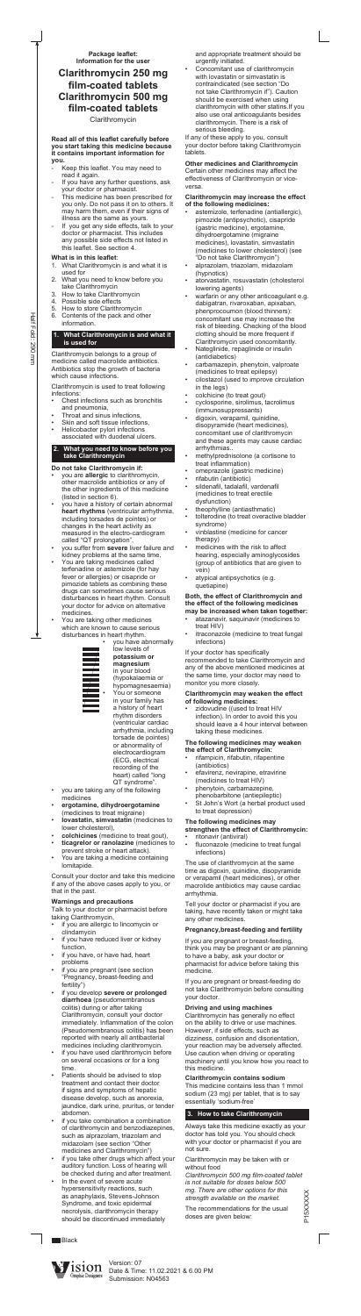#### **Read all of this leaflet carefully before you start taking this medicine because it contains important information for you.**

- Keep this leaflet. You may need to read it again.
- If you have any further questions, ask your doctor or pharmacist.
- This medicine has been prescribed for you only. Do not pass it on to others. It may harm them, even if their signs of illness are the same as yours.
- If you get any side effects, talk to your doctor or pharmacist. This includes any possible side effects not listed in this leaflet. See section 4.

## **What is in this leaflet**:

- Chest infections such as bronchitis and pneumonia,
- Throat and sinus infections,
- Skin and soft tissue infections,
- Helicobacter pylori infections associated with duodenal ulcers.
- 1. What Clarithromycin is and what it is used for
- 2. What you need to know before you take Clarithromycin
- 3. How to take Clarithromycin
- 4. Possible side effects
- 5. How to store Clarithromycin
- 6. Contents of the pack and other information.

#### **1. What Clarithromycin is and what it is used for**

Clarithromycin belongs to a group of medicine called macrolide antibiotics. Antibiotics stop the growth of bacteria which cause infections.

Clarithromycin is used to treat following infections:

- you are **allergic** to clarithromycin, other macrolide antibiotics or any of the other ingredients of this medicine (listed in section 6).
- you have a history of certain abnormal **heart rhythms** (ventricular arrhythmia, including torsades de pointes) or changes in the heart activity as measured in the electro-cardiogram called "QT prolongation",
- you suffer from severe liver failure and kidney problems at the same time,
- You are taking medicines called terfenadine or astemizole (for hay fever or allergies) or cisapride or pimozide tablets as combining these drugs can sometimes cause serious disturbances in heart rhythm. Consult your doctor for advice on alternative medicines.
- You are taking other medicines which are known to cause serious disturbances in heart rhythm.

## **2. What you need to know before you take Clarithromycin**

## **Do not take Clarithromycin if:**

- you are taking any of the following medicines
- ergotamine, dihydroergotamine (medicines to treat migraine)
- lovastatin, simvastatin (medicines to lower cholesterol),
- colchicines (medicine to treat gout),
- ticagrelor or ranolazine (medicines to prevent stroke or heart attack).
- You are taking a medicine containing lomitapide.



- if you are allergic to lincomycin or clindamycin
- if you have reduced liver or kidney function,
- if you have, or have had, heart problems
- if you are pregnant (see section "Pregnancy, breast-feeding and fertility")
- if you develop severe or prolonged **diarrhoea** (pseudomembranous colitis) during or after taking Clarithromycin, consult your doctor immediately. Inflammation of the colon (Pseudomembranous colitis) has been reported with nearly all antibacterial medicines including clarithromycin.
- if you have used clarithromycin before on several occasions or for a long time.
- Patients should be advised to stop treatment and contact their doctor if signs and symptoms of hepatic disease develop, such as anorexia, jaundice, dark urine, pruritus, or tender abdomen.
- if you take combination a combination of clarithromycin and benzodiazepines, such as alprazolam, triazolam and midazolam (see section "Other medicines and Clarithromycin")
- if you take other drugs which affect your auditory function. Loss of hearing will be checked during and after treatment.
- In the event of severe acute hypersensitivity reactions, such as anaphylaxis, Stevens-Johnson Syndrome, and toxic epidermal necrolysis, clarithromycin therapy should be discontinued immediately

**Black** 



**potassium or magnesium**  in your blood (hypokalaemia or hypomagnesaemia) You or someone in your family has a history of heart rhythm disorders (ventricular cardiac arrhythmia, including torsade de pointes) or abnormality of electrocardiogram (ECG, electrical recording of the heart) called "long QT syndrome".

Concomitant use of clarithromycin with lovastatin or simvastatin is contraindicated (see section "Do not take Clarithromycin if"). Caution should be exercised when using clarithromycin with other statins.If you also use oral anticoagulants besides clarithromycin. There is a risk of serious bleeding.

Consult your doctor and take this medicine if any of the above cases apply to you, or that in the past.

## **Warnings and precautions**

Talk to your doctor or pharmacist before taking Clarithromycin,

- astemizole, terfenadine (antiallergic), pimozide (antipsychotic), cisapride (gastric medicine), ergotamine, dihydroergotamine (migraine medicines), lovastatin, simvastatin (medicines to lower cholesterol) (see "Do not take Clarithromycin")
- alprazolam, triazolam, midazolam (hypnotics)
- atorvastatin, rosuvastatin (cholesterol lowering agents)
- warfarin or any other anticoagulant e.g. dabigatran, rivaroxaban, apixaban, phenprocoumon (blood thinners): concomitant use may increase the risk of bleeding. Checking of the blood clotting should be more frequent if Clarithromycin used concomitantly.
- Nateglinide, repaglinide or insulin (antidiabetics)
- carbamazepin, phenytoin, valproate (medicines to treat epilepsy)
- cilostazol (used to improve circulation in the legs)
- colchicine (to treat gout)
- cyclosporine, sirolimus, tacrolimus (immunosuppressants)
- digoxin, verapamil, quinidine, disopyramide (heart medicines), concomitant use of clarithromycin and these agents may cause cardiac arrhythmias..
- methylprednisolone (a cortisone to treat inflammation)
- omeprazole (gastric medicine)
- rifabutin (antibiotic)
- sildenafil, tadalafil, vardenafil (medicines to treat erectile dysfunction)
- theophylline (antiasthmatic)
- tolterodine (to treat overactive bladder syndrome)
- vinblastine (medicine for cancer therapy)
- medicines with the risk to affect hearing, especially aminoglycosides (group of antibiotics that are given to vein)
- atypical antipsychotics (e.g. quetiapine)

- atazanavir, saquinavir (medicines to treat HIV)
- itraconazole (medicine to treat fungal infections)

zidovudine ((used to treat HIV infection). In order to avoid this you should leave a 4 hour interval between taking these medicines.

- rifampicin, rifabutin, rifapentine (antibiotics)
- efavirenz, nevirapine, etravirine (medicines to treat HIV)
- phenytoin, carbamazepine, phenobarbitone (antiepileptic)
- St John's Wort (a herbal product used to treat depression)

#### **strengthen the effect of Clarithromycin:** ritonavir (antiviral)

fluconazole (medicine to treat fungal infections)

and appropriate treatment should be urgently initiated.

If any of these apply to you, consult your doctor before taking Clarithromycin tablets.

**Other medicines and Clarithromycin**  Certain other medicines may affect the effectiveness of Clarithromycin or viceversa.

### **Clarithromycin may increase the effect of the following medicines:**

#### **Both, the effect of Clarithromycin and the effect of the following medicines may be increased when taken together:**

If your doctor has specifically

recommended to take Clarithromycin and any of the above mentioned medicines at the same time, your doctor may need to monitor you more closely.

#### **Clarithromycin may weaken the effect of following medicines:**

#### **The following medicines may weaken the effect of Clarithromycin:**

## **The following medicines may**

The use of clarithromycin at the same time as digoxin, quinidine, disopyramide or verapamil (heart medicines), or other macrolide antibiotics may cause cardiac arrhythmia.

Tell your doctor or pharmacist if you are taking, have recently taken or might take any other medicines.

## **Pregnancy,breast-feeding and fertility**

If you are pregnant or breast-feeding, think you may be pregnant or are planning to have a baby, ask your doctor or pharmacist for advice before taking this medicine.

If you are pregnant or breast-feeding do not take Clarithromycin before consulting your doctor.

## **Driving and using machines**

Clarithromycin has generally no effect on the ability to drive or use machines. However, if side effects, such as dizziness, confusion and disorientation, your reaction may be adversely affected. Use caution when driving or operating machinery until you know how you react to this medicine.

## **Clarithromycin contains sodium**

This medicine contains less than 1 mmol sodium (23 mg) per tablet, that is to say essentially 'sodium-free'

## **3. How to take Clarithromycin**

Always take this medicine exactly as your doctor has told you. You should check with your doctor or pharmacist if you are not sure.

Clarithromycin may be taken with or without food

*Clarithromycin 500 mg film-coated tablet is not suitable for doses below 500 mg. There are other options for this strength available on the market.*

The recommendations for the usual doses are given below:

**Package leaflet: Information for the user**

# **Clarithromycin 250 mg film-coated tablets Clarithromycin 500 mg film-coated tablets**

Clarithromycin

Version: 07 Date & Time: 11.02.2021 & 6.00 PM Submission: N04563